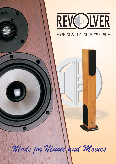

Ġ.

G

# HIGH QUALITY LOUDSPEAKERS

画画

*Made for Music and Movies*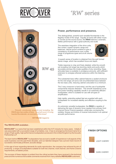

# 'RW' series



*.......'Smooth, uncoloured, powerful and revealing, the RW45 also has oodles of bass. Good all round, it's a big hearted floorstander, an exemplar of the breed'.*

**Hi Fi World** magazine

# **Power, performance and presence.**

This distinguished, powerful and versatile floorstander is the flagship model of the range. Equally at home with either music or movies as the sound source, the RW45 delivers a dramatic, lifelike performance with a great authority and scale.

The seamless integration of the drive units, fine control, superb dynamic range and balanced, natural sound combine to give a consistency of performance over a wide range of programme types and at all volume



A superb sense of location is obtained from the well formed stereo image, which has excellent focus and depth.

Treble response is crisp and finely detailed, while the smooth yet revealing mid range has stunning clarity and purity which accurately portrays the innate qualities of any recording. Deep, articulate bass is available in prodigious amounts, with sufficient extension to energise ethereal subsonics within the listening

The substantial bass reflex cabinet features a sealed enclosure for the mid range unit and a full circumferential brace between the two bass units, reducing cabinet colouration to a minimum.

The 3 way crossover is hard wired, and the use of audiophile components reduces distortion. The smooth impedance curve and power handling capability results in an extremely efficient loudspeaker, which is suitable for use with all types of

High rigidity, extending spiked feet are supplied with each loudspeaker for increased stability and effective coupling to the

An extremely versatile loudspeaker, the RW45 is capable of delivering the type of dynamic force needed from primary front channel Home Cinema speakers, whilst also conveying the subtlety, finesse and timbre of musical instruments in an optimal acoustic performance.

#### **The REVOLVER evolution .**

REVOLVER<sup>™</sup> is a name that has been established within the Hi Fi industry for many years. Initially it was associated with a successful range of turntables; now it has re-emerged as the brand name for a range of high quality, high performance loudspeakers produced in the United Kingdom by the Acoustic Partnership LLP.

The team behind REVOLVER<sup>™</sup>loudspeakers has accrued a wealth of experience in all aspects of the audio business over the past three decades, and our talented designer has a proven track record of successful, technically proficient, acoustic design.

In this age of ever expanding demands for audio reproduction, the company has achieved its aim of producing a range of loudspeakers suitable for both two channel, multi channel, and Home Cinema requirements, at realistic prices.

press and the numerous favourable comments received from many satisfied REVOLVER customers. The success of these designs is evident from the critical acclaim they have received in the technical

# LIGHT CHERRY DARK CHERRY **FINISH OPTIONS**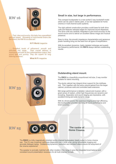**RW 16**



. *......'Fast, clear and punchy, this baby has unparalleled grip and speed. Revealing of instrumental timbre like few others, the RW16 is a class act'.*

#### **Hi Fi World** magazine

*.......'Excellent levels of refinement; smooth and* Their overall delivery is *impressive and with its fine midrange/bass output, they sound tight and punchy. They are superb for long listening sessions'.*

**What Hi Fi** magazine

#### **Small in size, but large in performance.**

This compact loudspeaker is a rear ported 2 way bookshelf model which can be used in stereo pairs, or as rear speakers for home cinema or multi-channel audio systems.

The rigid cabinet construction provides a solid base for both drive units and features radiused edges for improved sound dispersion. The drive units are carefully integrated to give tonal accuracy to the sound source and to deliver an excellent stereo image and musical presence.

Easy to drive, the smooth impedance characteristics and generous power handling bring out the best from all types of amplification.

With its excellent dynamics, highly detailed midrange and superb low frequency performance, the RW16 always delivers outstanding results.

#### **Outstanding stand mount.**

The RW33 is a beautifully proportioned mid size, 2 way monitor suitable for stand mounting.

The sturdy cabinet has integral driver support for the mid/bass unit. This, together with the extra volume gained from the larger cabinet, produces solid and controlled bass extension.

Mid range performance is detailed, natural and musical, with a great sense of realism, whilst high frequencies are dynamic and revealing. Separation and sound staging are impressive, with excellent timing and wide dynamic range.

With its vibrant sound, fine spacious imaging and high efficiency, this loudspeaker provides stunning all round performance and tonal accuracy.



**RW 33**



**Home Cinema.**

The RW25 is a fully magnetically shielded centre channel loudspeaker ideally suited to home cinema use. The 2<sup>1</sup>/<sub>2</sub> way crossover optimises dispersion over a wide area, giving remarkable imaging and accurate dialogue replay. Outstanding dynamics, resolution and transient attack ensure full enjoyment of the cinema experience!

The speaker is sonically matched with other models in the range to give the integrated tonal balance and consistent sound presentation necessary for all multi channel formats.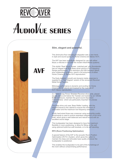# **CDEVER**  $A$ udio $V$ ue series



### **Slim, elegant and powerful.**

This diminutive floor standing loudspeaker sets a new trend in style and sound quality for Home Cinema and Stereo Hi-Fi.

The AVF has been specifically designed for use with either Music or Movies in line with the modern Multi-Media systems.

This stylish 'Real Wood Veneer matched pair' slim floorstander has an integral side firing Bass driver giving a Full Frequency Range performance. The resolution and fast transient attack, plus outstanding dynamics, result in full enjoyment of either Home Cinema or Stereo Hi-Fi reproduction.

The finely detailed, smooth and dynamic treble response is supplied by a 'Neo Magnet' version of the renowned Revolver Metal Dome Tweeter.

Midrange performance is dynamic and exciting for Home Cinema and is natural and musical for the nuances of Hi-Fi Stereo reproduction.

2 x 75mm 'Long Throw' Shielded Revolver drive units, placed equally above and below the Tweeter and loaded by an 'Infinite Baffle' enclosure, maintain the good sound dispersion characteristics which are particularly important for precise imaging.

The Bass drive unit uses 'Bass Reflex' loading, with the magnet braced to the cabinet to ensure the minimum of colouration and the maximum low frequency extension.

A fully hard-wired three way crossover using audiophile quality components is used to ensure seamless integration of the drive units, which gives a well balanced and natural sound with an excellent sound stage.

This loudspeaker has been designed to have the maximum flexibility in room positioning, to allow for fitting on the wall using optional AudioVue wall brackets, or to be self standing.

#### **RPO (Room Positioning Optimisation)**

A special feature of the AVF is the acoustic Room Position Optimisation (R.P.O.) System, which gives the option to maintain the deep and articulate bass quality wherever the loudspeaker is positioned.

This enables the loudspeaker to be part of the furnishings of the room without compromising performance.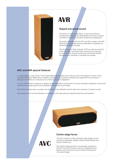

# **AVR**

# **Superb surround sound**

The AVR is a high quality Rear or Surround channel loudspeaker designed for Multi-Media and Home Cinema use when combined with other AudioVue loudspeakers.

Sonically matched with the AVF and AVC models, the AVR will give the consistent sound presentation necessary for all the Multi-Media formats

This Surround or Rear channel AVR can also be used for Front and Rear channels where space is at a premium. An AVC Centre channel model and a AVS Sub-Woofer would then be required to complete the system.

### **AVC and AVR special features**

2 x High Quality 'Long Throw' 75mm Bass-Midrange shielded drive units plus the 'Neo Magnet' version of the renowned Revolver Metal Dome Tweeter combine to give superb resolution and dynamics for the clarity of dialogue and effects so necessary for a Home Cinema loudspeaker.

A 2 way 'Hard Wired' crossover is utilised using Audiophile components to ensure seamless integration of the drive units and to maintain good sound dispersion across the sound stage.

Real Wood Veneers give a quality look and feel to the cabinets and the style now required in modern homes.

The speakers can be self standing or mounted on the wall using an optional AudioVue wall bracket.

**AVC**



### **Centre stage focus**

The AVC model is a fully dedicated high quality centre channel loudspeaker ideally suited for Multi-Media and Home Cinema use.

The Centre Channel AVC is acoustically matched to the AVF and AVR models to give an integrated tonal balance and maximum sound cohesion throughout the sound stage.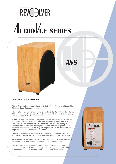# REVC EVER **AUDIOVUE SERIES**



**AVS**

# **Sensational Sub-Woofer**

The AVS is a stylish compact High Quality Sub-Woofer for use in a Stereo, Multi-Media or Home Cinema sound system.

The small size but substantial cabinet is constructed of 18mm thick High Density MDF and is finished in a 'Real Wood Cherry Veneer' to give a style and quality normally associated with home furniture.

A 300 watt high output class 'D' amplifier is used to power and control the 10" long throw Sub-Bass drive unit. The drive unit has a 2" diameter 4 layer High Temperature voice coil and large roll surround. The acoustic loading is an 'Infinite Baffle' or closed box which gives the best transient response and is therefore able to reproduce the very low frequencies with the minimal distortion required of a modern Home Theatre system.

Several types of inputs are available, High Level and Line In level with an adjustable crossover point and Phase allows for maximum flexibility in use.

An Automatic 'switch on and off' facility will switch the Sub-Woofer on when it receives a signal and will switch it off after 15 minutes of non use.

The AVS adds to the weight and scale of the sound experience. Compact enough for any room, it has the power and extension to produce prodigious low frequencies with its 300 watt Amplifier and 'Long Throw' drive unit.

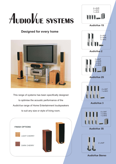# AUDIOVUE SYSTEMS

# **Designed for every home**



This range of systems has been specifically designed to optimise the acoustic performance of the AudioVue range of Home Entertainment loudspeakers to suit any size or style of living room.





**AudioVue 1S**



**AudioVue 2**



**AudioVue 2S**





**AudioVue 3S**



**AudioVue Stereo**